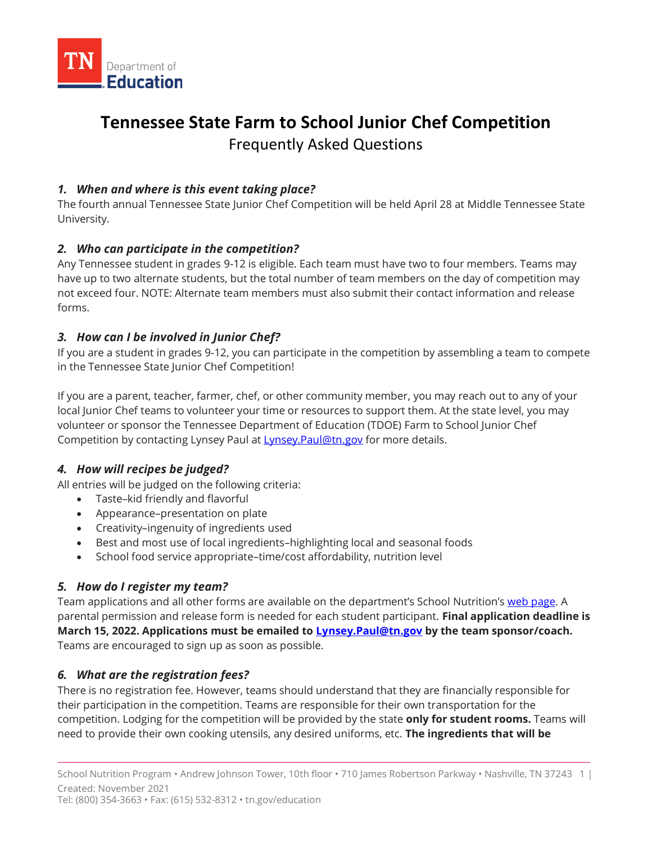

# **Tennessee State Farm to School Junior Chef Competition** Frequently Asked Questions

# *1. When and where is this event taking place?*

The fourth annual Tennessee State Junior Chef Competition will be held April 28 at Middle Tennessee State University.

## *2. Who can participate in the competition?*

Any Tennessee student in grades 9-12 is eligible. Each team must have two to four members. Teams may have up to two alternate students, but the total number of team members on the day of competition may not exceed four. NOTE: Alternate team members must also submit their contact information and release forms.

## *3. How can I be involved in Junior Chef?*

If you are a student in grades 9-12, you can participate in the competition by assembling a team to compete in the Tennessee State Junior Chef Competition!

If you are a parent, teacher, farmer, chef, or other community member, you may reach out to any of your local Junior Chef teams to volunteer your time or resources to support them. At the state level, you may volunteer or sponsor the Tennessee Department of Education (TDOE) Farm to School Junior Chef Competition by contacting Lynsey Paul at [Lynsey.Paul@tn.gov](mailto:Lynsey.Paul@tn.gov) for more details.

# *4. How will recipes be judged?*

All entries will be judged on the following criteria:

- Taste–kid friendly and flavorful
- Appearance–presentation on plate
- Creativity–ingenuity of ingredients used
- Best and most use of local ingredients–highlighting local and seasonal foods
- School food service appropriate–time/cost affordability, nutrition level

## *5. How do I register my team?*

Team applications and all other forms are available on the department's School Nutrition's web [page.](https://www.tn.gov/education/snp-resources/snp-marketing.html) A parental permission and release form is needed for each student participant. **Final application deadline is March 15, 2022. Applications must be emailed to [Lynsey.Paul@tn.gov](mailto:Lynsey.Paul@tn.gov) by the team sponsor/coach.** Teams are encouraged to sign up as soon as possible.

## *6. What are the registration fees?*

There is no registration fee. However, teams should understand that they are financially responsible for their participation in the competition. Teams are responsible for their own transportation for the competition. Lodging for the competition will be provided by the state **only for student rooms.** Teams will need to provide their own cooking utensils, any desired uniforms, etc. **The ingredients that will be**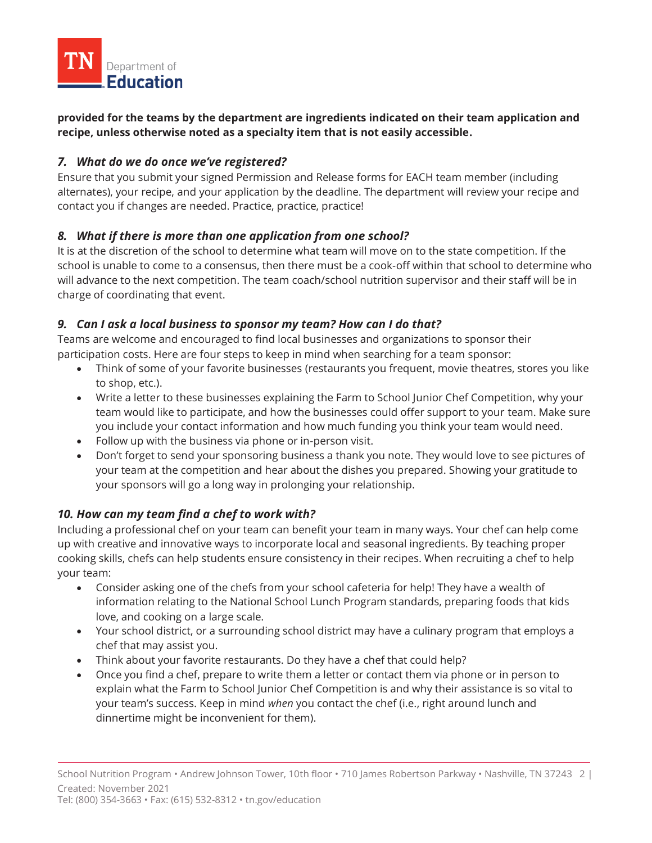

**provided for the teams by the department are ingredients indicated on their team application and recipe, unless otherwise noted as a specialty item that is not easily accessible.**

#### *7. What do we do once we've registered?*

Ensure that you submit your signed Permission and Release forms for EACH team member (including alternates), your recipe, and your application by the deadline. The department will review your recipe and contact you if changes are needed. Practice, practice, practice!

#### *8. What if there is more than one application from one school?*

It is at the discretion of the school to determine what team will move on to the state competition. If the school is unable to come to a consensus, then there must be a cook-off within that school to determine who will advance to the next competition. The team coach/school nutrition supervisor and their staff will be in charge of coordinating that event.

## *9. Can I ask a local business to sponsor my team? How can I do that?*

Teams are welcome and encouraged to find local businesses and organizations to sponsor their participation costs. Here are four steps to keep in mind when searching for a team sponsor:

- Think of some of your favorite businesses (restaurants you frequent, movie theatres, stores you like to shop, etc.).
- Write a letter to these businesses explaining the Farm to School Junior Chef Competition, why your team would like to participate, and how the businesses could offer support to your team. Make sure you include your contact information and how much funding you think your team would need.
- Follow up with the business via phone or in-person visit.
- Don't forget to send your sponsoring business a thank you note. They would love to see pictures of your team at the competition and hear about the dishes you prepared. Showing your gratitude to your sponsors will go a long way in prolonging your relationship.

## *10. How can my team find a chef to work with?*

Including a professional chef on your team can benefit your team in many ways. Your chef can help come up with creative and innovative ways to incorporate local and seasonal ingredients. By teaching proper cooking skills, chefs can help students ensure consistency in their recipes. When recruiting a chef to help your team:

- Consider asking one of the chefs from your school cafeteria for help! They have a wealth of information relating to the National School Lunch Program standards, preparing foods that kids love, and cooking on a large scale.
- Your school district, or a surrounding school district may have a culinary program that employs a chef that may assist you.
- Think about your favorite restaurants. Do they have a chef that could help?
- Once you find a chef, prepare to write them a letter or contact them via phone or in person to explain what the Farm to School Junior Chef Competition is and why their assistance is so vital to your team's success. Keep in mind *when* you contact the chef (i.e., right around lunch and dinnertime might be inconvenient for them).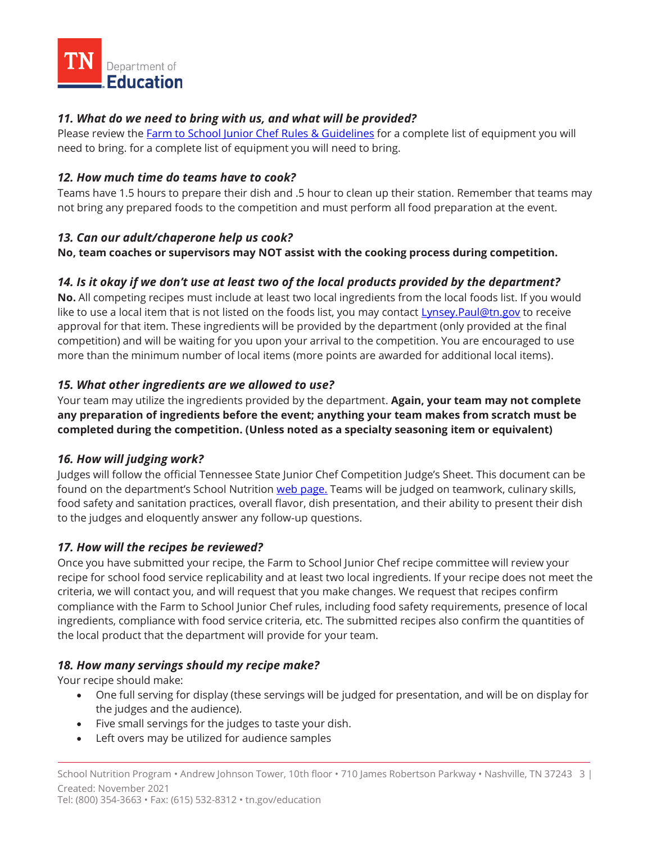

# *11. What do we need to bring with us, and what will be provided?*

Please review the **Farm to School Junior Chef Rules & Guidelines** for a complete list of equipment you will need to bring. for a complete list of equipment you will need to bring.

#### *12. How much time do teams have to cook?*

Teams have 1.5 hours to prepare their dish and .5 hour to clean up their station. Remember that teams may not bring any prepared foods to the competition and must perform all food preparation at the event.

#### *13. Can our adult/chaperone help us cook?*

**No, team coaches or supervisors may NOT assist with the cooking process during competition.** 

## *14. Is it okay if we don't use at least two of the local products provided by the department?*

**No.** All competing recipes must include at least two local ingredients from the local foods list. If you would like to use a local item that is not listed on the foods list, you may contact [Lynsey.Paul@tn.gov](mailto:Lynsey.Paul@tn.gov) to receive approval for that item. These ingredients will be provided by the department (only provided at the final competition) and will be waiting for you upon your arrival to the competition. You are encouraged to use more than the minimum number of local items (more points are awarded for additional local items).

#### *15. What other ingredients are we allowed to use?*

Your team may utilize the ingredients provided by the department. **Again, your team may not complete any preparation of ingredients before the event; anything your team makes from scratch must be completed during the competition. (Unless noted as a specialty seasoning item or equivalent)**

## *16. How will judging work?*

Judges will follow the official Tennessee State Junior Chef Competition Judge's Sheet. This document can be found on the department's School Nutrition [web p](https://www.tn.gov/education/snp-resources/snp-marketing.html)age. Teams will be judged on teamwork, culinary skills, food safety and sanitation practices, overall flavor, dish presentation, and their ability to present their dish to the judges and eloquently answer any follow-up questions.

## *17. How will the recipes be reviewed?*

Once you have submitted your recipe, the Farm to School Junior Chef recipe committee will review your recipe for school food service replicability and at least two local ingredients. If your recipe does not meet the criteria, we will contact you, and will request that you make changes. We request that recipes confirm compliance with the Farm to School Junior Chef rules, including food safety requirements, presence of local ingredients, compliance with food service criteria, etc. The submitted recipes also confirm the quantities of the local product that the department will provide for your team.

## *18. How many servings should my recipe make?*

Your recipe should make:

- One full serving for display (these servings will be judged for presentation, and will be on display for the judges and the audience).
- Five small servings for the judges to taste your dish.
- Left overs may be utilized for audience samples